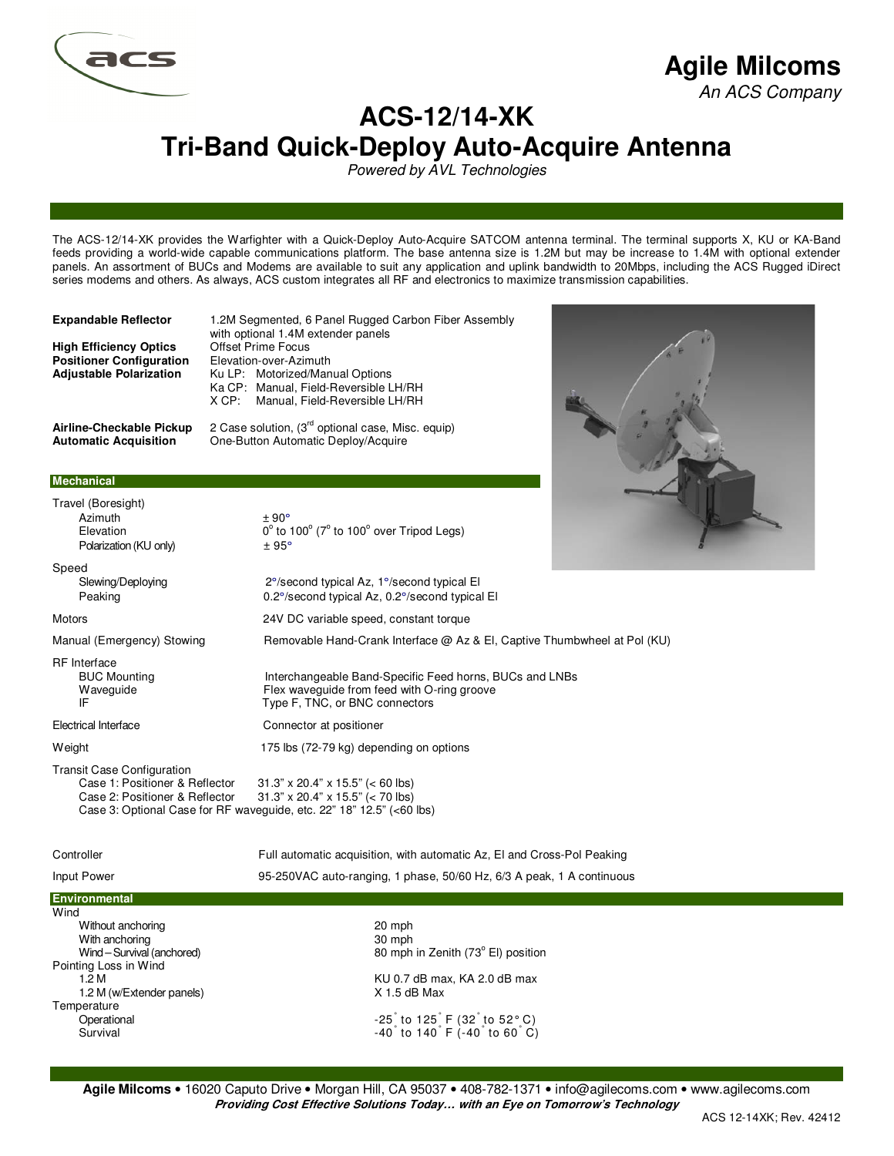

# **Agile Milcoms**

An ACS Company

## **ACS-12/14-XK Tri-Band Quick-Deploy Auto-Acquire Antenna**

Powered by AVL Technologies

The ACS-12/14-XK provides the Warfighter with a Quick-Deploy Auto-Acquire SATCOM antenna terminal. The terminal supports X, KU or KA-Band feeds providing a world-wide capable communications platform. The base antenna size is 1.2M but may be increase to 1.4M with optional extender panels. An assortment of BUCs and Modems are available to suit any application and uplink bandwidth to 20Mbps, including the ACS Rugged iDirect series modems and others. As always, ACS custom integrates all RF and electronics to maximize transmission capabilities.

**High Efficiency Optics** Offset Prime Focus<br> **Positioner Configuration** Elevation-over-Azimuth **Positioner Configuration<br>Adjustable Polarization** 

**Expandable Reflector** 1.2M Segmented, 6 Panel Rugged Carbon Fiber Assembly with optional 1.4M extender panels **Adjustable Polarization** Ku LP: Motorized/Manual Options Ka CP: Manual, Field-Reversible LH/RH X CP: Manual, Field-Reversible LH/RH

to  $100^\circ$  ( $7^\circ$  to  $100^\circ$  over Tripod Legs)

Flex waveguide from feed with O-ring groove

Type F, TNC, or BNC connectors

**Airline-Checkable Pickup** 2 Case solution, (3rd optional case, Misc. equip) **Automatic Acquisition** One-Button Automatic Deploy/Acquire

#### **Mechanical**

Travel (Boresight)  $A \sin(\theta) + 90^\circ$ Elevation Polarization (KU only)  $\pm 95^{\circ}$ 

Speed Slewing/Deploying 2°/second typical Az, 1°/second typical El Peaking 0.2°/second typical Az, 0.2°/second typical El

Motors 24V DC variable speed, constant torque

Manual (Emergency) Stowing **Removable Hand-Crank Interface @ Az & El**, Captive Thumbwheel at Pol (KU)

RF Interface BUC Mounting The Interchangeable Band-Specific Feed horns, BUCs and LNBs<br>
Waveguide The Waveguide from feed with O-ring groove

Electrical Interface Connector at positioner

Weight Weight 175 lbs (72-79 kg) depending on options

Transit Case Configuration  $31.3" \times 20.4" \times 15.5" \approx 60 \text{ lbs}$ Case 2: Positioner & Reflector 31.3" x 20.4" x 15.5" (< 70 lbs) Case 3: Optional Case for RF waveguide, etc. 22" 18" 12.5" (<60 lbs)

Input Power 95-250VAC auto-ranging, 1 phase, 50/60 Hz, 6/3 A peak, 1 A continuous

Controller Full automatic acquisition, with automatic Az, El and Cross-Pol Peaking

### **Environment**

**Wind** Without anchoring **20 mph** 20 mph With anchoring 30 mph Wind – Survival (anchored) Pointing Loss in Wind 1.2 M (w/Extender panels) X 1.5 dB Max **Temperature** Operational Survival

80 mph in Zenith (73° El) position KU 0.7 dB max, KA 2.0 dB max to 125° F (32° to 52° C) to  $140^\circ$  F (-40 $^\circ$  to 60 $^\circ$  C)